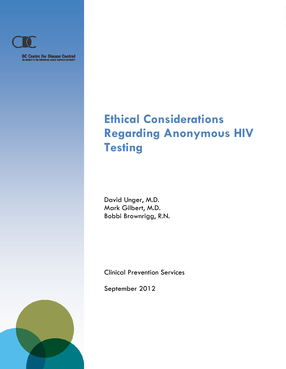

**BC Centre for Disease Control**<br>M ABBICY OF THE PROVINCIAL HEADER SERVICES AUTHORITY

*Ethical Implications of Anonymous HIV Testing* 

*Clinical Prevention Services*

# **Ethical Considerations Regarding Anonymous HIV Testing**

David Unger, M.D. Mark Gilbert, M.D. Bobbi Brownrigg, R.N.

Clinical Prevention Services

September 2012

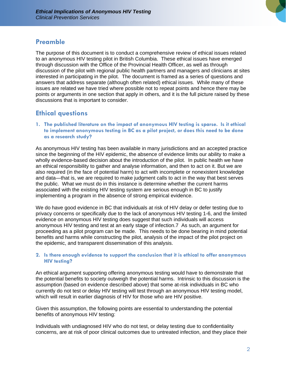

## **Preamble**

The purpose of this document is to conduct a comprehensive review of ethical issues related to an anonymous HIV testing pilot in British Columbia. These ethical issues have emerged through discussion with the Office of the Provincial Health Officer, as well as through discussion of the pilot with regional public health partners and managers and clinicians at sites interested in participating in the pilot. The document is framed as a series of questions and answers that address separate (although often related) ethical issues. While many of these issues are related we have tried where possible not to repeat points and hence there may be points or arguments in one section that apply in others, and it is the full picture raised by these discussions that is important to consider.

## **Ethical questions**

**1. The published literature on the impact of anonymous HIV testing is sparse. Is it ethical to implement anonymous testing in BC as a pilot project, or does this need to be done as a research study?** 

As anonymous HIV testing has been available in many jurisdictions and an accepted practice since the beginning of the HIV epidemic, the absence of evidence limits our ability to make a wholly evidence-based decision about the introduction of the pilot. In public health we have an ethical responsibility to gather and analyse information, and then to act on it. But we are also required (in the face of potential harm) to act with incomplete or nonexistent knowledge and data—that is, we are required to make judgment calls to act in the way that best serves the public. What we must do in this instance is determine whether the current harms associated with the existing HIV testing system are serious enough in BC to justify implementing a program in the absence of strong empirical evidence.

We do have good evidence in BC that individuals at risk of HIV delay or defer testing due to privacy concerns or specifically due to the lack of anonymous HIV testing 1-6, and the limited evidence on anonymous HIV testing does suggest that such individuals will access anonymous HIV testing and test at an early stage of infection.7 As such, an argument for proceeding as a pilot program can be made. This needs to be done bearing in mind potential benefits and harms while constructing the pilot, analysis of the impact of the pilot project on the epidemic, and transparent dissemination of this analysis.

### **2. Is there enough evidence to support the conclusion that it is ethical to offer anonymous HIV testing?**

An ethical argument supporting offering anonymous testing would have to demonstrate that the potential benefits to society outweigh the potential harms. Intrinsic to this discussion is the assumption (based on evidence described above) that some at-risk individuals in BC who currently do not test or delay HIV testing will test through an anonymous HIV testing model, which will result in earlier diagnosis of HIV for those who are HIV positive.

Given this assumption, the following points are essential to understanding the potential benefits of anonymous HIV testing:

Individuals with undiagnosed HIV who do not test, or delay testing due to confidentiality concerns, are at risk of poor clinical outcomes due to untreated infection, and they place their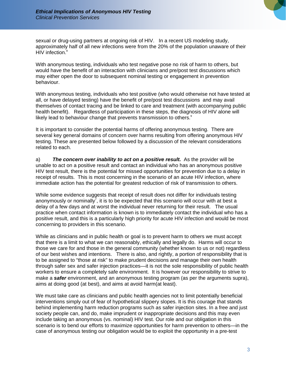

sexual or drug-using partners at ongoing risk of HIV. In a recent US modeling study, approximately half of all new infections were from the 20% of the population unaware of their HIV infection.<sup>8</sup>

With anonymous testing, individuals who test negative pose no risk of harm to others, but would have the benefit of an interaction with clinicians and pre/post test discussions which may either open the door to subsequent nominal testing or engagement in prevention behaviour.

With anonymous testing, individuals who test positive (who would otherwise not have tested at all, or have delayed testing) have the benefit of pre/post test discussions and may avail themselves of contact tracing and be linked to care and treatment (with accompanying public health benefit). Regardless of participation in these steps, the diagnosis of HIV alone will likely lead to behaviour change that prevents transmission to others. $^9$ 

It is important to consider the potential harms of offering anonymous testing. There are several key general domains of concern over harms resulting from offering anonymous HIV testing. These are presented below followed by a discussion of the relevant considerations related to each.

a) *The concern over inability to act on a positive result.* As the provider will be unable to act on a positive result and contact an individual who has an anonymous positive HIV test result, there is the potential for missed opportunities for prevention due to a delay in receipt of results. This is most concerning in the scenario of an acute HIV infection, where immediate action has the potential for greatest reduction of risk of transmission to others.

While some evidence suggests that receipt of result does not differ for individuals testing anonymously or nominally<sup>7</sup>, it is to be expected that this scenario will occur with at best a delay of a few days and at worst the individual never returning for their result. The usual practice when contact information is known is to immediately contact the individual who has a positive result, and this is a particularly high priority for acute HIV infection and would be most concerning to providers in this scenario.

While as clinicians and in public health or goal is to prevent harm to others we must accept that there is a limit to what we can reasonably, ethically and legally do. Harms will occur to those we care for and those in the general community (whether known to us or not) regardless of our best wishes and intentions. There is also, and rightly, a portion of responsibility that is to be assigned to "those at risk" to make prudent decisions and manage their own health through safer sex and safer injection practices—it is not the sole responsibility of public health workers to ensure a completely safe environment. It is however our responsibility to strive to make a *safer* environment, and an anonymous testing program (as per the arguments supra), aims at doing good (at best), and aims at avoid harm(at least).

We must take care as clinicians and public health agencies not to limit potentially beneficial interventions simply out of fear of hypothetical slippery slopes. It is this courage that stands behind implementing harm reduction programs such as safer injection sites. In a free and just society people can, and do, make imprudent or inappropriate decisions and this may even include taking an anonymous (vs. nominal) HIV test. Our role and our obligation in this scenario is to bend our efforts to maximize opportunities for harm prevention to others—in the case of anonymous testing our obligation would be to exploit the opportunity in a pre-test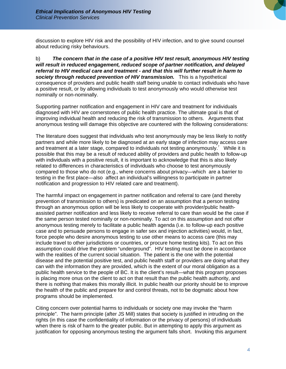

discussion to explore HIV risk and the possibility of HIV infection, and to give sound counsel about reducing risky behaviours.

b) *The concern that in the case of a positive HIV test result, anonymous HIV testing will result in reduced engagement, reduced scope of partner notification, and delayed referral to HIV medical care and treatment - and that this will further result in harm to society through reduced prevention of HIV transmission.* This is a hypothetical consequence of providers and public health staff being unable to contact individuals who have a positive result, or by allowing individuals to test anonymously who would otherwise test nominally or non-nominally.

Supporting partner notification and engagement in HIV care and treatment for individuals diagnosed with HIV are cornerstones of public health practice. The ultimate goal is that of improving individual health and reducing the risk of transmission to others. Arguments that anonymous testing will damage this objective are countered with the following considerations:

The literature does suggest that individuals who test anonymously may be less likely to notify partners and while more likely to be diagnosed at an early stage of infection may access care and treatment at a later stage, compared to individuals not testing anonymously.<sup>7</sup> While it is possible that this may be a result of reduced ability of providers and public health to follow-up with individuals with a positive result, it is important to acknowledge that this is also likely related to differences in characteristics of individuals who choose to test anonymously compared to those who do not (e.g., where concerns about privacy—which are a barrier to testing in the first place—also affect an individual's willingness to participate in partner notification and progression to HIV related care and treatment).

The harmful impact on engagement in partner notification and referral to care (and thereby prevention of transmission to others) is predicated on an assumption that a person testing through an anonymous option will be less likely to cooperate with provider/public healthassisted partner notification and less likely to receive referral to care than would be the case if the same person tested nominally or non-nominally. To act on this assumption and not offer anonymous testing merely to facilitate a public health agenda (i.e. to follow-up each positive case and to persuade persons to engage in safer sex and injection activities) would, in fact, force people who desire anonymous testing to use other means to access care (this may include travel to other jurisdictions or countries, or procure home testing kits). To act on this assumption could drive the problem "underground". HIV testing must be done in accordance with the realities of the current social situation. The patient is the one with the potential disease and the potential positive test, and public health staff or providers are doing what they can with the information they are provided, which is the extent of our moral obligation as a public health service to the people of BC. It is the client's result—what this program proposes is placing more onus on the client to act on that result than the public health authority, and there is nothing that makes this morally illicit. In public health our priority should be to improve the health of the public and prepare for and control threats, not to be dogmatic about how programs should be implemented.

Citing concern over potential harms to individuals or society one may invoke the "harm principle". The harm principle (after JS Mill) states that society is justified in intruding on the rights (in this case the confidentiality of information or the privacy of persons) of individuals when there is risk of harm to the greater public. But in attempting to apply this argument as justification for opposing anonymous testing the argument falls short. Invoking this argument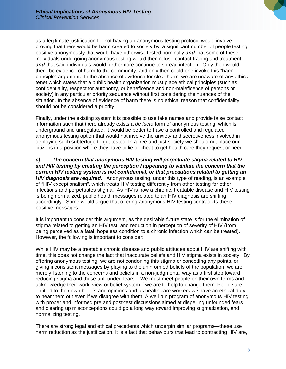

as a legitimate justification for not having an anonymous testing protocol would involve proving that there would be harm created to society by: a significant number of people testing positive anonymously that would have otherwise tested nominally *and* that some of these individuals undergoing anonymous testing would then refuse contact tracing and treatment **and** that said individuals would furthermore continue to spread infection. Only then would there be evidence of harm to the community; and only then could one invoke this "harm principle" argument. In the absence of evidence for clear harm, we are unaware of any ethical tenet which states that a public health organization must place ethical principles (such as confidentiality, respect for autonomy, or beneficence and non-maleficence of persons or society) in any particular priority sequence without first considering the nuances of the situation. In the absence of evidence of harm there is no ethical reason that confidentiality should not be considered a priority.

Finally, under the existing system it is possible to use fake names and provide false contact information such that there already exists a *de facto* form of anonymous testing, which is underground and unregulated. It would be better to have a controlled and regulated anonymous testing option that would not involve the anxiety and secretiveness involved in deploying such subterfuge to get tested. In a free and just society we should not place our citizens in a position where they have to lie or cheat to get health care they request or need.

*c) The concern that anonymous HIV testing will perpetuate stigma related to HIV and HIV testing by creating the perception / appearing to validate the concern that the current HIV testing system is not confidential, or that precautions related to getting an HIV diagnosis are required.* Anonymous testing, under this type of reading, is an example of "HIV exceptionalism", which treats HIV testing differently from other testing for other infections and perpetuates stigma. As HIV is now a chronic, treatable disease and HIV testing is being normalized, public health messages related to an HIV diagnosis are shifting accordingly. Some would argue that offering anonymous HIV testing contradicts these positive messages.

It is important to consider this argument, as the desirable future state is for the elimination of stigma related to getting an HIV test, and reduction in perception of severity of HIV (from being perceived as a fatal, hopeless condition to a chronic infection which can be treated). However, the following is important to consider:

While HIV may be a treatable chronic disease and public attitudes about HIV are shifting with time, this does not change the fact that inaccurate beliefs and HIV stigma exists in society. By offering anonymous testing, we are not condoning this stigma or conceding any points, or giving inconsistent messages by playing to the uninformed beliefs of the population; we are merely listening to the concerns and beliefs in a non-judgmental way as a first step toward reducing stigma and these unfounded fears. We must meet people on their own terms and acknowledge their world view or belief system if we are to help to change them. People are entitled to their own beliefs and opinions and as health care workers we have an ethical duty to hear them out even if we disagree with them. A well run program of anonymous HIV testing with proper and informed pre and post-test discussions aimed at dispelling unfounded fears and clearing up misconceptions could go a long way toward improving stigmatization, and normalizing testing.

There are strong legal and ethical precedents which underpin similar programs—these use harm reduction as the justification. It is a fact that behaviours that lead to contracting HIV are,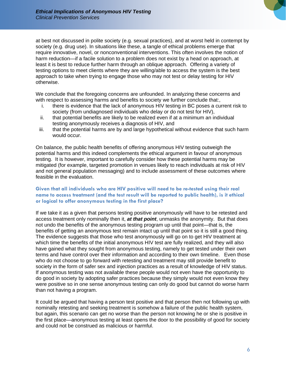

at best not discussed in polite society (e.g. sexual practices), and at worst held in contempt by society (e.g. drug use). In situations like these, a tangle of ethical problems emerge that require innovative, novel, or nonconventional interventions. This often involves the notion of harm reduction—if a facile solution to a problem does not exist by a head on approach, at least it is best to reduce further harm through an oblique approach. Offering a variety of testing options to meet clients where they are willing/able to access the system is the best approach to take when trying to engage those who may not test or delay testing for HIV otherwise.

We conclude that the foregoing concerns are unfounded. In analyzing these concerns and with respect to assessing harms and benefits to society we further conclude that:,

- i. there is evidence that the lack of anonymous HIV testing in BC poses a current risk to society (from undiagnosed individuals who delay or do not test for HIV),
- ii. that potential benefits are likely to be realized even if at a minimum an individual testing anonymously receives a diagnosis of HIV, and
- iii. that the potential harms are by and large hypothetical without evidence that such harm would occur.

On balance, the public health benefits of offering anonymous HIV testing outweigh the potential harms and this indeed complements the ethical argument in favour of anonymous testing. It is however, important to carefully consider how these potential harms may be mitigated (for example, targeted promotion in venues likely to reach individuals at risk of HIV and not general population messaging) and to include assessment of these outcomes where feasible in the evaluation.

#### **Given that all individuals who are HIV positive will need to be re-tested using their real name to access treatment (and the test result will be reported to public health), is it ethical or logical to offer anonymous testing in the first place?**

If we take it as a given that persons testing positive anonymously will have to be retested and access treatment only nominally then it, *at that point*, unmasks the anonymity. But that does not undo the benefits of the anonymous testing program up until that point—that is, the benefits of getting an anonymous test remain intact up until that point so it is still a good thing. The evidence suggests that those who test anonymously will go on to get HIV treatment at which time the benefits of the initial anonymous HIV test are fully realized, and they will also have gained what they sought from anonymous testing, namely to get tested under their own terms and have control over their information and according to their own timeline. Even those who do not choose to go forward with retesting and treatment may still provide benefit to society in the form of safer sex and injection practices as a result of knowledge of HIV status. If anonymous testing was not available these people would not even have the opportunity to do good in society by adopting safer practices because they simply would not even know they were positive so in one sense anonymous testing can only do good but cannot do worse harm than not having a program.

It could be argued that having a person test positive and that person then not following up with nominally retesting and seeking treatment is somehow a failure of the public health system, but again, this scenario can get no worse than the person not knowing he or she is positive in the first place—anonymous testing at least opens the door to the possibility of good for society and could not be construed as malicious or harmful.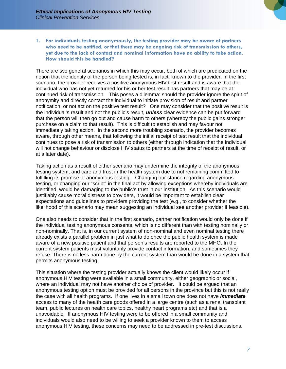

**1. For individuals testing anonymously, the testing provider may be aware of partners who need to be notified, or that there may be ongoing risk of transmission to others, yet due to the lack of contact and nominal information have no ability to take action. How should this be handled?** 

There are two general scenarios in which this may occur, both of which are predicated on the notion that the identity of the person being tested is, in fact, known to the provider. In the first scenario, the provider receives a positive anonymous HIV test result and is aware that the individual who has not yet returned for his or her test result has partners that may be at continued risk of transmission. This poses a dilemma: should the provider ignore the spirit of anonymity and directly contact the individual to initiate provision of result and partner notification, or not act on the positive test result? One may consider that the positive result is the individual's result and not the public's result, *unless* clear evidence can be put forward that the person will then go out and cause harm to others (whereby the public gains stronger purchase on a claim to that result). This is difficult to establish and may favour not immediately taking action. In the second more troubling scenario, the provider becomes aware, through other means, that following the initial receipt of test result that the individual continues to pose a risk of transmission to others (either through indication that the individual will not change behaviour or disclose HIV status to partners at the time of receipt of result, or at a later date).

Taking action as a result of either scenario may undermine the integrity of the anonymous testing system, and care and trust in the health system due to not remaining committed to fulfilling its promise of anonymous testing. Changing our stance regarding anonymous testing, or changing our "script" in the final act by allowing exceptions whereby individuals are identified, would be damaging to the public's trust in our institution. As this scenario would justifiably cause moral distress to providers, it would be important to establish clear expectations and guidelines to providers providing the test (e.g., to consider whether the likelihood of this scenario may mean suggesting an individual see another provider if feasible).

One also needs to consider that in the first scenario, partner notification would only be done if the individual testing anonymous consents, which is no different than with testing nominally or non-nominally. That is, in our current system of non-nominal and even nominal testing there already exists a parallel problem in just what to do once the public health system is made aware of a new positive patient and that person's results are reported to the MHO. In the current system patients must voluntarily provide contact information, and sometimes they refuse. There is no less harm done by the current system than would be done in a system that permits anonymous testing.

This situation where the testing provider actually knows the client would likely occur if anonymous HIV testing were available in a small community, either geographic or social, where an individual may not have another choice of provider. It could be argued that an anonymous testing option must be provided for all persons in the province but this is not really the case with all health programs. If one lives in a small town one does not have *immediate* access to many of the health care goods offered in a large centre (such as a renal transplant team, public lectures on health care topics, healthy heart programs etc) and that is a unavoidable. If anonymous HIV testing were to be offered in a small community and individuals would also need to be willing to seek a provider known to them to access anonymous HIV testing, these concerns may need to be addressed in pre-test discussions.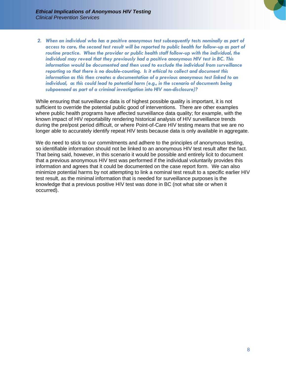

*2. When an individual who has a positive anonymous test subsequently tests nominally as part of access to care, the second test result will be reported to public health for follow-up as part of*  routine practice. When the provider or public health staff follow-up with the individual, the *individual may reveal that they previously had a positive anonymous HIV test in BC. This information would be documented and then used to exclude the individual from surveillance reporting so that there is no double-counting. Is it ethical to collect and document this information as this then creates a documentation of a previous anonymous test linked to an individual, as this could lead to potential harm (e.g., in the scenario of documents being subpoenaed as part of a criminal investigation into HIV non-disclosure)?* 

While ensuring that surveillance data is of highest possible quality is important, it is not sufficient to override the potential public good of interventions. There are other examples where public health programs have affected surveillance data quality; for example, with the known impact of HIV reportability rendering historical analysis of HIV surveillance trends during the pre/post period difficult, or where Point-of-Care HIV testing means that we are no longer able to accurately identify repeat HIV tests because data is only available in aggregate.

We do need to stick to our commitments and adhere to the principles of anonymous testing, so identifiable information should not be linked to an anonymous HIV test result after the fact. That being said, however, in this scenario it would be possible and entirely licit to document that a previous anonymous HIV test was performed if the individual voluntarily provides this information and agrees that it could be documented on the case report form. We can also minimize potential harms by not attempting to link a nominal test result to a specific earlier HIV test result, as the minimal information that is needed for surveillance purposes is the knowledge that a previous positive HIV test was done in BC (not what site or when it occurred).